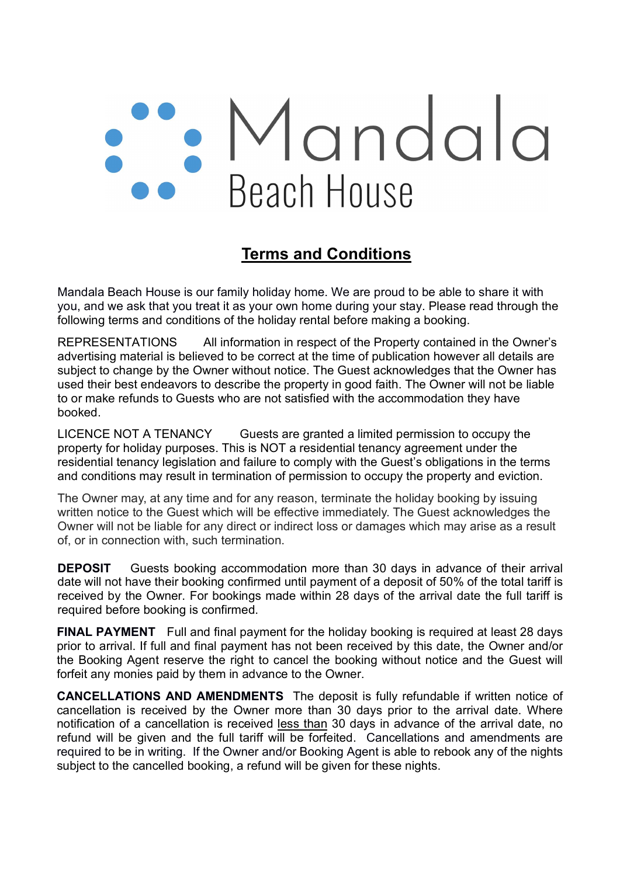## Mandala<br>Beach House

## Terms and Conditions

Mandala Beach House is our family holiday home. We are proud to be able to share it with you, and we ask that you treat it as your own home during your stay. Please read through the following terms and conditions of the holiday rental before making a booking.

REPRESENTATIONS All information in respect of the Property contained in the Owner's advertising material is believed to be correct at the time of publication however all details are subject to change by the Owner without notice. The Guest acknowledges that the Owner has used their best endeavors to describe the property in good faith. The Owner will not be liable to or make refunds to Guests who are not satisfied with the accommodation they have booked.

LICENCE NOT A TENANCY Guests are granted a limited permission to occupy the property for holiday purposes. This is NOT a residential tenancy agreement under the residential tenancy legislation and failure to comply with the Guest's obligations in the terms and conditions may result in termination of permission to occupy the property and eviction.

The Owner may, at any time and for any reason, terminate the holiday booking by issuing written notice to the Guest which will be effective immediately. The Guest acknowledges the Owner will not be liable for any direct or indirect loss or damages which may arise as a result of, or in connection with, such termination.

**DEPOSIT** Guests booking accommodation more than 30 days in advance of their arrival date will not have their booking confirmed until payment of a deposit of 50% of the total tariff is received by the Owner. For bookings made within 28 days of the arrival date the full tariff is required before booking is confirmed.

FINAL PAYMENT Full and final payment for the holiday booking is required at least 28 days prior to arrival. If full and final payment has not been received by this date, the Owner and/or the Booking Agent reserve the right to cancel the booking without notice and the Guest will forfeit any monies paid by them in advance to the Owner.

CANCELLATIONS AND AMENDMENTS The deposit is fully refundable if written notice of cancellation is received by the Owner more than 30 days prior to the arrival date. Where notification of a cancellation is received less than 30 days in advance of the arrival date, no refund will be given and the full tariff will be forfeited. Cancellations and amendments are required to be in writing. If the Owner and/or Booking Agent is able to rebook any of the nights subject to the cancelled booking, a refund will be given for these nights.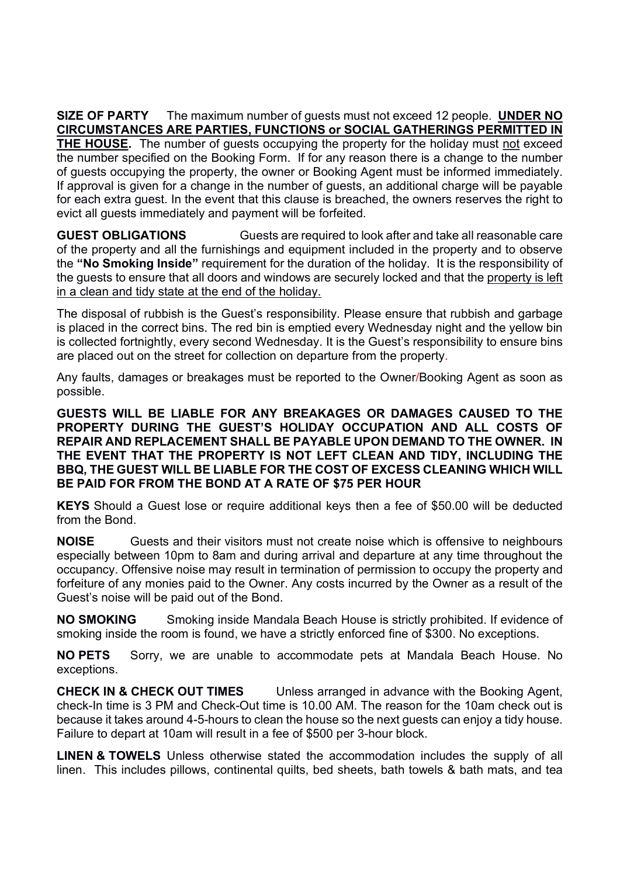SIZE OF PARTY The maximum number of quests must not exceed 12 people. UNDER NO CIRCUMSTANCES ARE PARTIES, FUNCTIONS or SOCIAL GATHERINGS PERMITTED IN THE HOUSE. The number of guests occupying the property for the holiday must not exceed the number specified on the Booking Form. If for any reason there is a change to the number of guests occupying the property, the owner or Booking Agent must be informed immediately. If approval is given for a change in the number of guests, an additional charge will be payable for each extra guest. In the event that this clause is breached, the owners reserves the right to evict all guests immediately and payment will be forfeited.

GUEST OBLIGATIONS Guests are required to look after and take all reasonable care of the property and all the furnishings and equipment included in the property and to observe the "No Smoking Inside" requirement for the duration of the holiday. It is the responsibility of the guests to ensure that all doors and windows are securely locked and that the property is left in a clean and tidy state at the end of the holiday.

The disposal of rubbish is the Guest's responsibility. Please ensure that rubbish and garbage is placed in the correct bins. The red bin is emptied every Wednesday night and the yellow bin is collected fortnightly, every second Wednesday. It is the Guest's responsibility to ensure bins are placed out on the street for collection on departure from the property.

Any faults, damages or breakages must be reported to the Owner/Booking Agent as soon as possible.

GUESTS WILL BE LIABLE FOR ANY BREAKAGES OR DAMAGES CAUSED TO THE PROPERTY DURING THE GUEST'S HOLIDAY OCCUPATION AND ALL COSTS OF REPAIR AND REPLACEMENT SHALL BE PAYABLE UPON DEMAND TO THE OWNER. IN THE EVENT THAT THE PROPERTY IS NOT LEFT CLEAN AND TIDY, INCLUDING THE BBQ, THE GUEST WILL BE LIABLE FOR THE COST OF EXCESS CLEANING WHICH WILL BE PAID FOR FROM THE BOND AT A RATE OF \$75 PER HOUR

KEYS Should a Guest lose or require additional keys then a fee of \$50.00 will be deducted from the Bond.

NOISE Guests and their visitors must not create noise which is offensive to neighbours especially between 10pm to 8am and during arrival and departure at any time throughout the occupancy. Offensive noise may result in termination of permission to occupy the property and forfeiture of any monies paid to the Owner. Any costs incurred by the Owner as a result of the Guest's noise will be paid out of the Bond.

NO SMOKING Smoking inside Mandala Beach House is strictly prohibited. If evidence of smoking inside the room is found, we have a strictly enforced fine of \$300. No exceptions.

NO PETS Sorry, we are unable to accommodate pets at Mandala Beach House. No exceptions.

CHECK IN & CHECK OUT TIMES Unless arranged in advance with the Booking Agent, check-In time is 3 PM and Check-Out time is 10.00 AM. The reason for the 10am check out is because it takes around 4-5-hours to clean the house so the next guests can enjoy a tidy house. Failure to depart at 10am will result in a fee of \$500 per 3-hour block.

**LINEN & TOWELS** Unless otherwise stated the accommodation includes the supply of all linen. This includes pillows, continental quilts, bed sheets, bath towels & bath mats, and tea